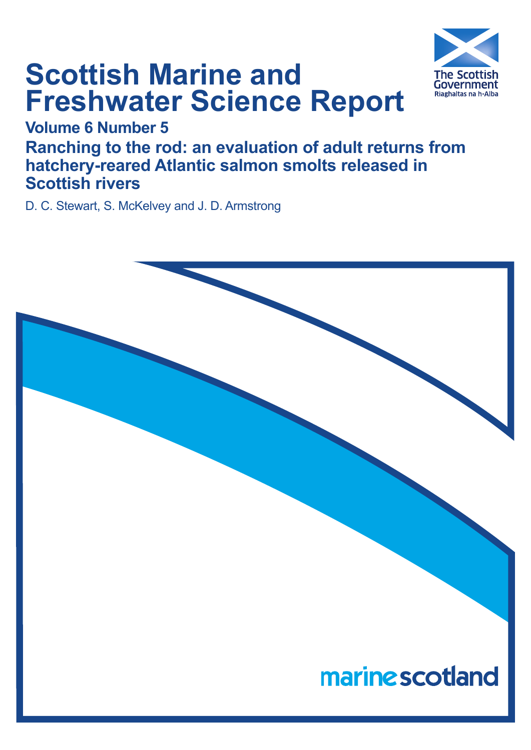

# **Scottish Marine and Freshwater Science Report**

## **Volume 6 Number 5**

**Ranching to the rod: an evaluation of adult returns from hatchery-reared Atlantic salmon smolts released in Scottish rivers**

D. C. Stewart, S. McKelvey and J. D. Armstrong

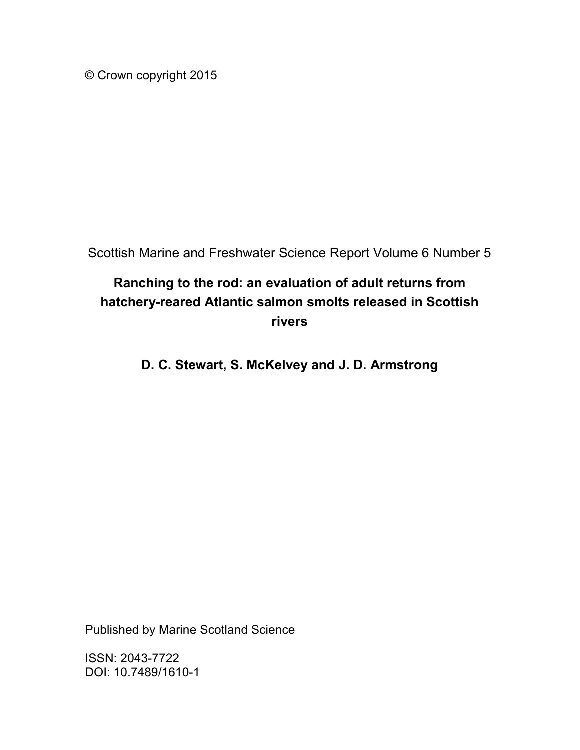© Crown copyright 2015

Scottish Marine and Freshwater Science Report Volume 6 Number 5

### **Ranching to the rod: an evaluation of adult returns from hatchery-reared Atlantic salmon smolts released in Scottish rivers**

**D. C. Stewart, S. McKelvey and J. D. Armstrong**

Published by Marine Scotland Science

ISSN: 2043-7722 DOI: 10.7489/1610-1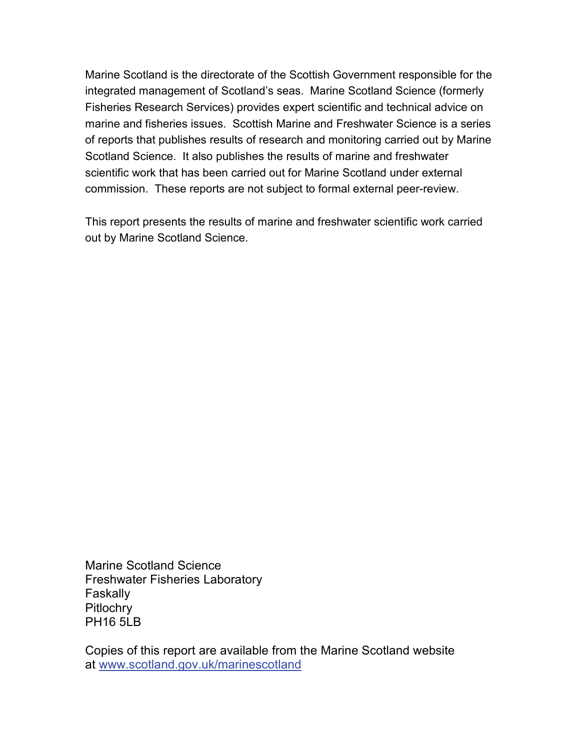Marine Scotland is the directorate of the Scottish Government responsible for the integrated management of Scotland's seas. Marine Scotland Science (formerly Fisheries Research Services) provides expert scientific and technical advice on marine and fisheries issues. Scottish Marine and Freshwater Science is a series of reports that publishes results of research and monitoring carried out by Marine Scotland Science. It also publishes the results of marine and freshwater scientific work that has been carried out for Marine Scotland under external commission. These reports are not subject to formal external peer-review.

This report presents the results of marine and freshwater scientific work carried out by Marine Scotland Science.

Marine Scotland Science Freshwater Fisheries Laboratory **Faskally Pitlochry** PH16 5LB

Copies of this report are available from the Marine Scotland website at [www.scotland.gov.uk/marinescotland](http://www.scotland.gov.uk/marinescotland)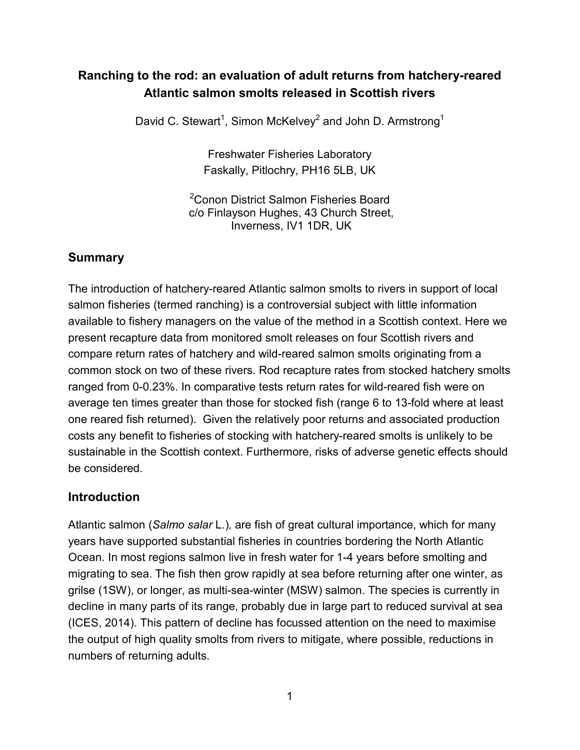#### **Ranching to the rod: an evaluation of adult returns from hatchery-reared Atlantic salmon smolts released in Scottish rivers**

David C. Stewart<sup>1</sup>, Simon McKelvey<sup>2</sup> and John D. Armstrong<sup>1</sup>

Freshwater Fisheries Laboratory Faskally, Pitlochry, PH16 5LB, UK

<sup>2</sup>Conon District Salmon Fisheries Board c/o Finlayson Hughes, 43 Church Street, Inverness, IV1 1DR, UK

#### **Summary**

The introduction of hatchery-reared Atlantic salmon smolts to rivers in support of local salmon fisheries (termed ranching) is a controversial subject with little information available to fishery managers on the value of the method in a Scottish context. Here we present recapture data from monitored smolt releases on four Scottish rivers and compare return rates of hatchery and wild-reared salmon smolts originating from a common stock on two of these rivers. Rod recapture rates from stocked hatchery smolts ranged from 0-0.23%. In comparative tests return rates for wild-reared fish were on average ten times greater than those for stocked fish (range 6 to 13-fold where at least one reared fish returned). Given the relatively poor returns and associated production costs any benefit to fisheries of stocking with hatchery-reared smolts is unlikely to be sustainable in the Scottish context. Furthermore, risks of adverse genetic effects should be considered.

#### **Introduction**

Atlantic salmon (*Salmo salar* L.)*,* are fish of great cultural importance, which for many years have supported substantial fisheries in countries bordering the North Atlantic Ocean. In most regions salmon live in fresh water for 1-4 years before smolting and migrating to sea. The fish then grow rapidly at sea before returning after one winter, as grilse (1SW), or longer, as multi-sea-winter (MSW) salmon. The species is currently in decline in many parts of its range, probably due in large part to reduced survival at sea (ICES, 2014). This pattern of decline has focussed attention on the need to maximise the output of high quality smolts from rivers to mitigate, where possible, reductions in numbers of returning adults.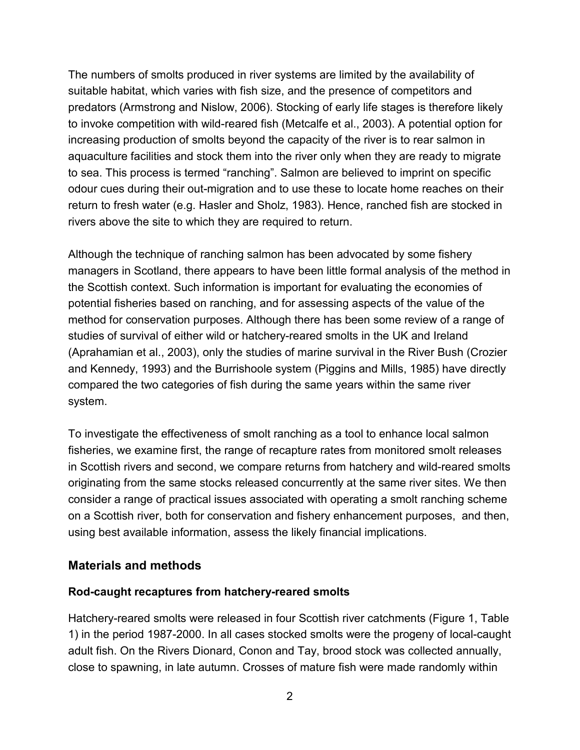The numbers of smolts produced in river systems are limited by the availability of suitable habitat, which varies with fish size, and the presence of competitors and predators (Armstrong and Nislow, 2006). Stocking of early life stages is therefore likely to invoke competition with wild-reared fish (Metcalfe et al., 2003). A potential option for increasing production of smolts beyond the capacity of the river is to rear salmon in aquaculture facilities and stock them into the river only when they are ready to migrate to sea. This process is termed "ranching". Salmon are believed to imprint on specific odour cues during their out-migration and to use these to locate home reaches on their return to fresh water (e.g. Hasler and Sholz, 1983). Hence, ranched fish are stocked in rivers above the site to which they are required to return.

Although the technique of ranching salmon has been advocated by some fishery managers in Scotland, there appears to have been little formal analysis of the method in the Scottish context. Such information is important for evaluating the economies of potential fisheries based on ranching, and for assessing aspects of the value of the method for conservation purposes. Although there has been some review of a range of studies of survival of either wild or hatchery-reared smolts in the UK and Ireland (Aprahamian et al., 2003), only the studies of marine survival in the River Bush (Crozier and Kennedy, 1993) and the Burrishoole system (Piggins and Mills, 1985) have directly compared the two categories of fish during the same years within the same river system.

To investigate the effectiveness of smolt ranching as a tool to enhance local salmon fisheries, we examine first, the range of recapture rates from monitored smolt releases in Scottish rivers and second, we compare returns from hatchery and wild-reared smolts originating from the same stocks released concurrently at the same river sites. We then consider a range of practical issues associated with operating a smolt ranching scheme on a Scottish river, both for conservation and fishery enhancement purposes, and then, using best available information, assess the likely financial implications.

#### **Materials and methods**

#### **Rod-caught recaptures from hatchery-reared smolts**

Hatchery-reared smolts were released in four Scottish river catchments (Figure 1, Table 1) in the period 1987-2000. In all cases stocked smolts were the progeny of local-caught adult fish. On the Rivers Dionard, Conon and Tay, brood stock was collected annually, close to spawning, in late autumn. Crosses of mature fish were made randomly within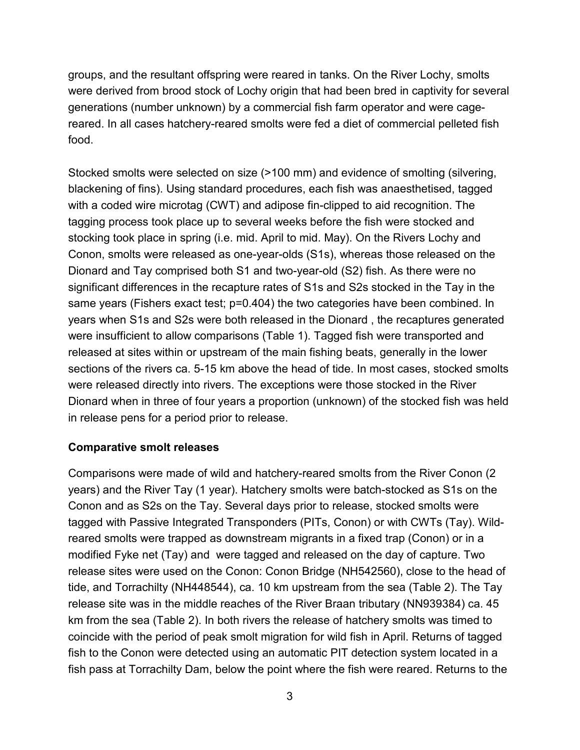groups, and the resultant offspring were reared in tanks. On the River Lochy, smolts were derived from brood stock of Lochy origin that had been bred in captivity for several generations (number unknown) by a commercial fish farm operator and were cagereared. In all cases hatchery-reared smolts were fed a diet of commercial pelleted fish food.

Stocked smolts were selected on size (>100 mm) and evidence of smolting (silvering, blackening of fins). Using standard procedures, each fish was anaesthetised, tagged with a coded wire microtag (CWT) and adipose fin-clipped to aid recognition. The tagging process took place up to several weeks before the fish were stocked and stocking took place in spring (i.e. mid. April to mid. May). On the Rivers Lochy and Conon, smolts were released as one-year-olds (S1s), whereas those released on the Dionard and Tay comprised both S1 and two-year-old (S2) fish. As there were no significant differences in the recapture rates of S1s and S2s stocked in the Tay in the same years (Fishers exact test; p=0.404) the two categories have been combined. In years when S1s and S2s were both released in the Dionard , the recaptures generated were insufficient to allow comparisons (Table 1). Tagged fish were transported and released at sites within or upstream of the main fishing beats, generally in the lower sections of the rivers ca. 5-15 km above the head of tide. In most cases, stocked smolts were released directly into rivers. The exceptions were those stocked in the River Dionard when in three of four years a proportion (unknown) of the stocked fish was held in release pens for a period prior to release.

#### **Comparative smolt releases**

Comparisons were made of wild and hatchery-reared smolts from the River Conon (2 years) and the River Tay (1 year). Hatchery smolts were batch-stocked as S1s on the Conon and as S2s on the Tay. Several days prior to release, stocked smolts were tagged with Passive Integrated Transponders (PITs, Conon) or with CWTs (Tay). Wildreared smolts were trapped as downstream migrants in a fixed trap (Conon) or in a modified Fyke net (Tay) and were tagged and released on the day of capture. Two release sites were used on the Conon: Conon Bridge (NH542560), close to the head of tide, and Torrachilty (NH448544), ca. 10 km upstream from the sea (Table 2). The Tay release site was in the middle reaches of the River Braan tributary (NN939384) ca. 45 km from the sea (Table 2). In both rivers the release of hatchery smolts was timed to coincide with the period of peak smolt migration for wild fish in April. Returns of tagged fish to the Conon were detected using an automatic PIT detection system located in a fish pass at Torrachilty Dam, below the point where the fish were reared. Returns to the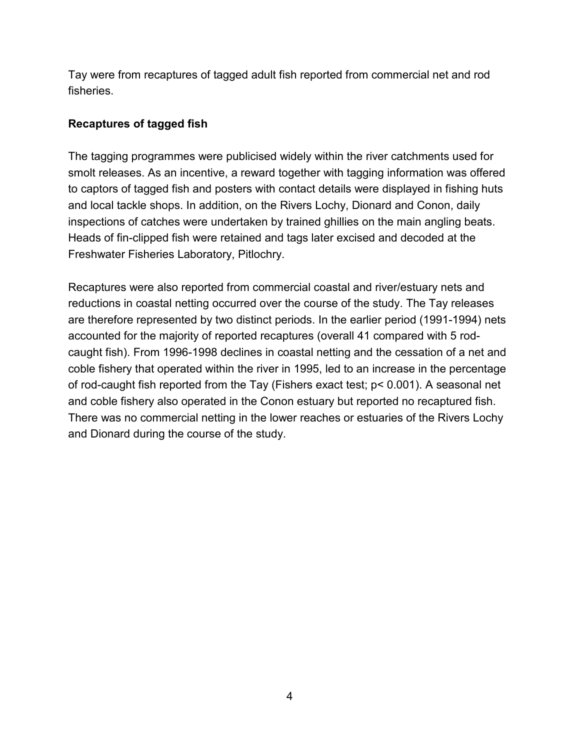Tay were from recaptures of tagged adult fish reported from commercial net and rod fisheries.

#### **Recaptures of tagged fish**

The tagging programmes were publicised widely within the river catchments used for smolt releases. As an incentive, a reward together with tagging information was offered to captors of tagged fish and posters with contact details were displayed in fishing huts and local tackle shops. In addition, on the Rivers Lochy, Dionard and Conon, daily inspections of catches were undertaken by trained ghillies on the main angling beats. Heads of fin-clipped fish were retained and tags later excised and decoded at the Freshwater Fisheries Laboratory, Pitlochry.

Recaptures were also reported from commercial coastal and river/estuary nets and reductions in coastal netting occurred over the course of the study. The Tay releases are therefore represented by two distinct periods. In the earlier period (1991-1994) nets accounted for the majority of reported recaptures (overall 41 compared with 5 rodcaught fish). From 1996-1998 declines in coastal netting and the cessation of a net and coble fishery that operated within the river in 1995, led to an increase in the percentage of rod-caught fish reported from the Tay (Fishers exact test; p< 0.001). A seasonal net and coble fishery also operated in the Conon estuary but reported no recaptured fish. There was no commercial netting in the lower reaches or estuaries of the Rivers Lochy and Dionard during the course of the study.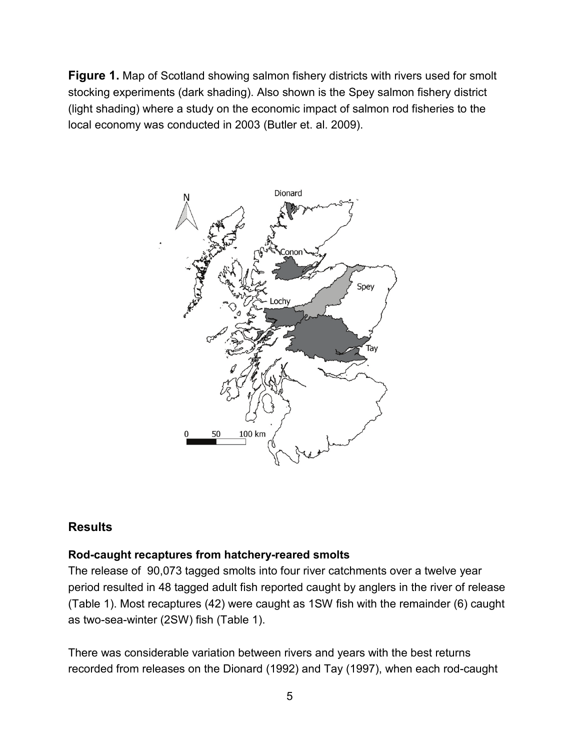**Figure 1.** Map of Scotland showing salmon fishery districts with rivers used for smolt stocking experiments (dark shading). Also shown is the Spey salmon fishery district (light shading) where a study on the economic impact of salmon rod fisheries to the local economy was conducted in 2003 (Butler et. al. 2009).



#### **Results**

#### **Rod-caught recaptures from hatchery-reared smolts**

The release of 90,073 tagged smolts into four river catchments over a twelve year period resulted in 48 tagged adult fish reported caught by anglers in the river of release (Table 1). Most recaptures (42) were caught as 1SW fish with the remainder (6) caught as two-sea-winter (2SW) fish (Table 1).

There was considerable variation between rivers and years with the best returns recorded from releases on the Dionard (1992) and Tay (1997), when each rod-caught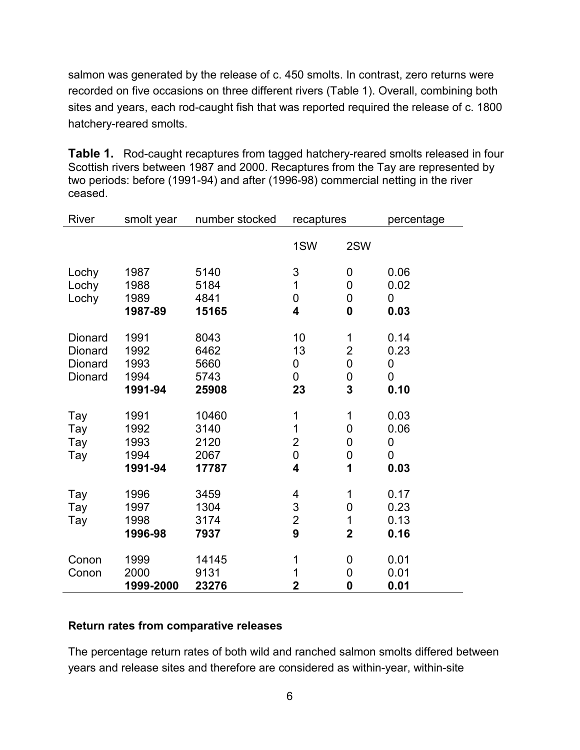salmon was generated by the release of c. 450 smolts. In contrast, zero returns were recorded on five occasions on three different rivers (Table 1). Overall, combining both sites and years, each rod-caught fish that was reported required the release of c. 1800 hatchery-reared smolts.

**Table 1.** Rod-caught recaptures from tagged hatchery-reared smolts released in four Scottish rivers between 1987 and 2000. Recaptures from the Tay are represented by two periods: before (1991-94) and after (1996-98) commercial netting in the river ceased.

| River   | smolt year | number stocked | recaptures                |                         | percentage |  |
|---------|------------|----------------|---------------------------|-------------------------|------------|--|
|         |            |                | 1SW                       | 2SW                     |            |  |
| Lochy   | 1987       | 5140           | $\ensuremath{\mathsf{3}}$ | 0                       | 0.06       |  |
| Lochy   | 1988       | 5184           | 1                         | $\mathbf 0$             | 0.02       |  |
| Lochy   | 1989       | 4841           | 0                         | $\mathbf 0$             | 0          |  |
|         | 1987-89    | 15165          | 4                         | $\boldsymbol{0}$        | 0.03       |  |
| Dionard | 1991       | 8043           | 10                        | 1                       | 0.14       |  |
| Dionard | 1992       | 6462           | 13                        | $\overline{2}$          | 0.23       |  |
| Dionard | 1993       | 5660           | 0                         | 0                       | 0          |  |
| Dionard | 1994       | 5743           | 0                         | $\mathbf 0$             | 0          |  |
|         | 1991-94    | 25908          | 23                        | 3                       | 0.10       |  |
|         |            |                |                           |                         |            |  |
| Tay     | 1991       | 10460          | 1                         | $\mathbf 1$             | 0.03       |  |
| Tay     | 1992       | 3140           | 1                         | $\mathbf 0$             | 0.06       |  |
| Tay     | 1993       | 2120           | $\overline{2}$            | 0                       | 0          |  |
| Tay     | 1994       | 2067           | $\mathsf 0$               | $\mathbf 0$             | 0          |  |
|         | 1991-94    | 17787          | 4                         | 1                       | 0.03       |  |
| Tay     | 1996       | 3459           | 4                         | 1                       | 0.17       |  |
| Tay     | 1997       | 1304           | 3                         | $\mathbf 0$             | 0.23       |  |
| Tay     | 1998       | 3174           | $\overline{2}$            | $\mathbf 1$             | 0.13       |  |
|         | 1996-98    | 7937           | 9                         | $\overline{\mathbf{2}}$ | 0.16       |  |
| Conon   | 1999       | 14145          | 1                         | $\mathbf 0$             | 0.01       |  |
| Conon   | 2000       | 9131           | 1                         | $\mathbf 0$             | 0.01       |  |
|         | 1999-2000  | 23276          | $\overline{2}$            | $\boldsymbol{0}$        | 0.01       |  |

#### **Return rates from comparative releases**

The percentage return rates of both wild and ranched salmon smolts differed between years and release sites and therefore are considered as within-year, within-site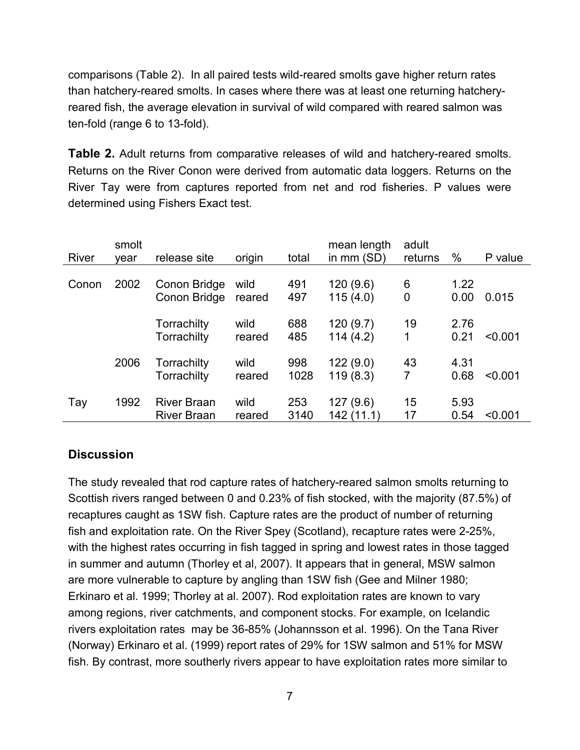comparisons (Table 2). In all paired tests wild-reared smolts gave higher return rates than hatchery-reared smolts. In cases where there was at least one returning hatcheryreared fish, the average elevation in survival of wild compared with reared salmon was ten-fold (range 6 to 13-fold).

**Table 2.** Adult returns from comparative releases of wild and hatchery-reared smolts. Returns on the River Conon were derived from automatic data loggers. Returns on the River Tay were from captures reported from net and rod fisheries. P values were determined using Fishers Exact test.

| <b>River</b> | smolt<br>vear | release site                             | origin         | total       | mean length<br>in $mm(SD)$ | adult<br>returns | $\%$         | P value |
|--------------|---------------|------------------------------------------|----------------|-------------|----------------------------|------------------|--------------|---------|
| Conon        | 2002          | Conon Bridge<br>Conon Bridge             | wild<br>reared | 491<br>497  | 120(9.6)<br>115(4.0)       | 6<br>0           | 1.22<br>0.00 | 0.015   |
|              |               | Torrachilty<br>Torrachilty               | wild<br>reared | 688<br>485  | 120(9.7)<br>114(4.2)       | 19<br>1          | 2.76<br>0.21 | < 0.001 |
|              | 2006          | Torrachilty<br>Torrachilty               | wild<br>reared | 998<br>1028 | 122(9.0)<br>119(8.3)       | 43<br>7          | 4.31<br>0.68 | < 0.001 |
| Tay          | 1992          | <b>River Braan</b><br><b>River Braan</b> | wild<br>reared | 253<br>3140 | 127(9.6)<br>142 (11.1)     | 15<br>17         | 5.93<br>0.54 | < 0.001 |

#### **Discussion**

The study revealed that rod capture rates of hatchery-reared salmon smolts returning to Scottish rivers ranged between 0 and 0.23% of fish stocked, with the majority (87.5%) of recaptures caught as 1SW fish. Capture rates are the product of number of returning fish and exploitation rate. On the River Spey (Scotland), recapture rates were 2-25%, with the highest rates occurring in fish tagged in spring and lowest rates in those tagged in summer and autumn (Thorley et al, 2007). It appears that in general, MSW salmon are more vulnerable to capture by angling than 1SW fish (Gee and Milner 1980; Erkinaro et al. 1999; Thorley at al. 2007). Rod exploitation rates are known to vary among regions, river catchments, and component stocks. For example, on Icelandic rivers exploitation rates may be 36-85% (Johannsson et al. 1996). On the Tana River (Norway) Erkinaro et al. (1999) report rates of 29% for 1SW salmon and 51% for MSW fish. By contrast, more southerly rivers appear to have exploitation rates more similar to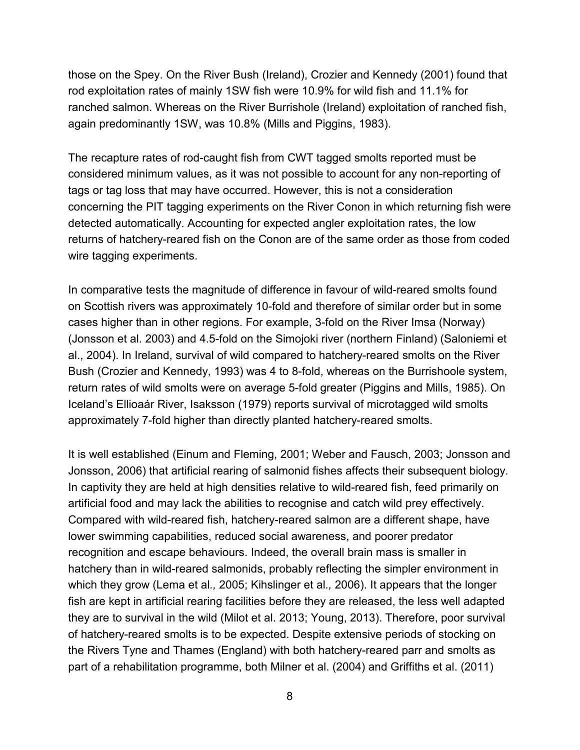those on the Spey. On the River Bush (Ireland), Crozier and Kennedy (2001) found that rod exploitation rates of mainly 1SW fish were 10.9% for wild fish and 11.1% for ranched salmon. Whereas on the River Burrishole (Ireland) exploitation of ranched fish, again predominantly 1SW, was 10.8% (Mills and Piggins, 1983).

The recapture rates of rod-caught fish from CWT tagged smolts reported must be considered minimum values, as it was not possible to account for any non-reporting of tags or tag loss that may have occurred. However, this is not a consideration concerning the PIT tagging experiments on the River Conon in which returning fish were detected automatically. Accounting for expected angler exploitation rates, the low returns of hatchery-reared fish on the Conon are of the same order as those from coded wire tagging experiments.

In comparative tests the magnitude of difference in favour of wild-reared smolts found on Scottish rivers was approximately 10-fold and therefore of similar order but in some cases higher than in other regions. For example, 3-fold on the River Imsa (Norway) (Jonsson et al. 2003) and 4.5-fold on the Simojoki river (northern Finland) (Saloniemi et al., 2004). In Ireland, survival of wild compared to hatchery-reared smolts on the River Bush (Crozier and Kennedy, 1993) was 4 to 8-fold, whereas on the Burrishoole system, return rates of wild smolts were on average 5-fold greater (Piggins and Mills, 1985). On Iceland's Ellioaár River, Isaksson (1979) reports survival of microtagged wild smolts approximately 7-fold higher than directly planted hatchery-reared smolts.

It is well established (Einum and Fleming, 2001; Weber and Fausch, 2003; Jonsson and Jonsson, 2006) that artificial rearing of salmonid fishes affects their subsequent biology. In captivity they are held at high densities relative to wild-reared fish, feed primarily on artificial food and may lack the abilities to recognise and catch wild prey effectively. Compared with wild-reared fish, hatchery-reared salmon are a different shape, have lower swimming capabilities, reduced social awareness, and poorer predator recognition and escape behaviours. Indeed, the overall brain mass is smaller in hatchery than in wild-reared salmonids, probably reflecting the simpler environment in which they grow (Lema et al*.,* 2005; Kihslinger et al*.,* 2006). It appears that the longer fish are kept in artificial rearing facilities before they are released, the less well adapted they are to survival in the wild (Milot et al. 2013; Young, 2013). Therefore, poor survival of hatchery-reared smolts is to be expected. Despite extensive periods of stocking on the Rivers Tyne and Thames (England) with both hatchery-reared parr and smolts as part of a rehabilitation programme, both Milner et al. (2004) and Griffiths et al. (2011)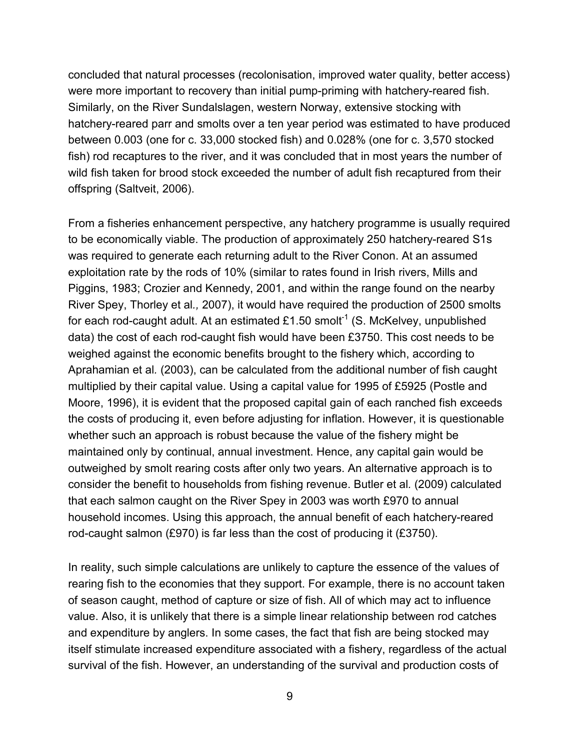concluded that natural processes (recolonisation, improved water quality, better access) were more important to recovery than initial pump-priming with hatchery-reared fish. Similarly, on the River Sundalslagen, western Norway, extensive stocking with hatchery-reared parr and smolts over a ten year period was estimated to have produced between 0.003 (one for c. 33,000 stocked fish) and 0.028% (one for c. 3,570 stocked fish) rod recaptures to the river, and it was concluded that in most years the number of wild fish taken for brood stock exceeded the number of adult fish recaptured from their offspring (Saltveit, 2006).

From a fisheries enhancement perspective, any hatchery programme is usually required to be economically viable. The production of approximately 250 hatchery-reared S1s was required to generate each returning adult to the River Conon. At an assumed exploitation rate by the rods of 10% (similar to rates found in Irish rivers, Mills and Piggins, 1983; Crozier and Kennedy, 2001, and within the range found on the nearby River Spey, Thorley et al*.,* 2007), it would have required the production of 2500 smolts for each rod-caught adult. At an estimated £1.50 smolt<sup>-1</sup> (S. McKelvey, unpublished data) the cost of each rod-caught fish would have been £3750. This cost needs to be weighed against the economic benefits brought to the fishery which, according to Aprahamian et al*.* (2003), can be calculated from the additional number of fish caught multiplied by their capital value. Using a capital value for 1995 of £5925 (Postle and Moore, 1996), it is evident that the proposed capital gain of each ranched fish exceeds the costs of producing it, even before adjusting for inflation. However, it is questionable whether such an approach is robust because the value of the fishery might be maintained only by continual, annual investment. Hence, any capital gain would be outweighed by smolt rearing costs after only two years. An alternative approach is to consider the benefit to households from fishing revenue. Butler et al*.* (2009) calculated that each salmon caught on the River Spey in 2003 was worth £970 to annual household incomes. Using this approach, the annual benefit of each hatchery-reared rod-caught salmon (£970) is far less than the cost of producing it (£3750).

In reality, such simple calculations are unlikely to capture the essence of the values of rearing fish to the economies that they support. For example, there is no account taken of season caught, method of capture or size of fish. All of which may act to influence value. Also, it is unlikely that there is a simple linear relationship between rod catches and expenditure by anglers. In some cases, the fact that fish are being stocked may itself stimulate increased expenditure associated with a fishery, regardless of the actual survival of the fish. However, an understanding of the survival and production costs of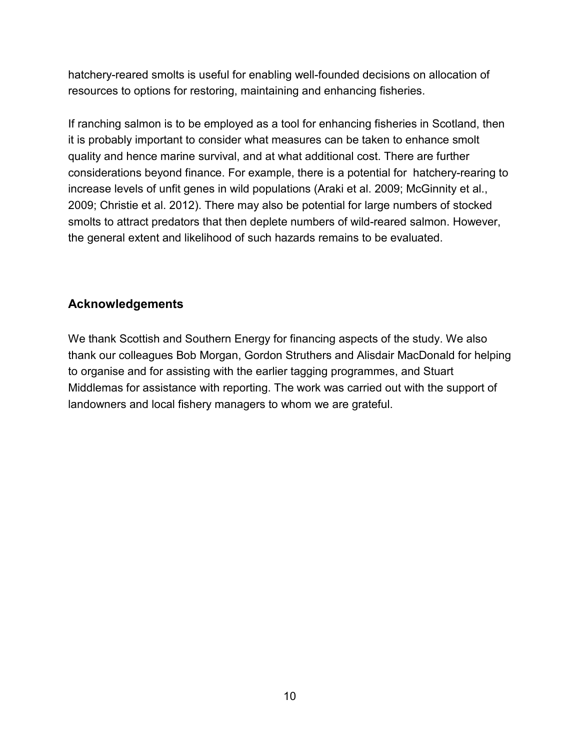hatchery-reared smolts is useful for enabling well-founded decisions on allocation of resources to options for restoring, maintaining and enhancing fisheries.

If ranching salmon is to be employed as a tool for enhancing fisheries in Scotland, then it is probably important to consider what measures can be taken to enhance smolt quality and hence marine survival, and at what additional cost. There are further considerations beyond finance. For example, there is a potential for hatchery-rearing to increase levels of unfit genes in wild populations (Araki et al. 2009; McGinnity et al., 2009; Christie et al. 2012). There may also be potential for large numbers of stocked smolts to attract predators that then deplete numbers of wild-reared salmon. However, the general extent and likelihood of such hazards remains to be evaluated.

#### **Acknowledgements**

We thank Scottish and Southern Energy for financing aspects of the study. We also thank our colleagues Bob Morgan, Gordon Struthers and Alisdair MacDonald for helping to organise and for assisting with the earlier tagging programmes, and Stuart Middlemas for assistance with reporting. The work was carried out with the support of landowners and local fishery managers to whom we are grateful.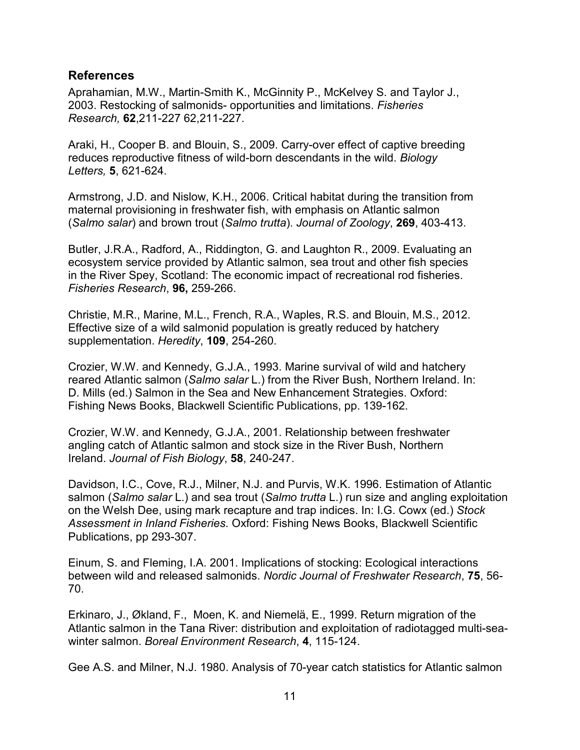#### **References**

Aprahamian, M.W., Martin-Smith K., McGinnity P., McKelvey S. and Taylor J., 2003. Restocking of salmonids- opportunities and limitations. *Fisheries Research,* **62**,211-227 62,211-227.

Araki, H., Cooper B. and Blouin, S., 2009. Carry-over effect of captive breeding reduces reproductive fitness of wild-born descendants in the wild. *Biology Letters,* **5**, 621-624.

Armstrong, J.D. and Nislow, K.H., 2006. Critical habitat during the transition from maternal provisioning in freshwater fish, with emphasis on Atlantic salmon (*Salmo salar*) and brown trout (*Salmo trutta*). *Journal of Zoology*, **269**, 403-413.

Butler, J.R.A., Radford, A., Riddington, G. and Laughton R., 2009. Evaluating an ecosystem service provided by Atlantic salmon, sea trout and other fish species in the River Spey, Scotland: The economic impact of recreational rod fisheries. *Fisheries Research*, **96,** 259-266.

Christie, M.R., Marine, M.L., French, R.A., Waples, R.S. and Blouin, M.S., 2012. Effective size of a wild salmonid population is greatly reduced by hatchery supplementation. *Heredity*, **109**, 254-260.

Crozier, W.W. and Kennedy, G.J.A., 1993. Marine survival of wild and hatchery reared Atlantic salmon (*Salmo salar* L.) from the River Bush, Northern Ireland. In: D. Mills (ed.) Salmon in the Sea and New Enhancement Strategies. Oxford: Fishing News Books, Blackwell Scientific Publications, pp. 139-162.

Crozier, W.W. and Kennedy, G.J.A., 2001. Relationship between freshwater angling catch of Atlantic salmon and stock size in the River Bush, Northern Ireland. *Journal of Fish Biology*, **58**, 240-247.

Davidson, I.C., Cove, R.J., Milner, N.J. and Purvis, W.K. 1996. Estimation of Atlantic salmon (*Salmo salar* L.) and sea trout (*Salmo trutta* L.) run size and angling exploitation on the Welsh Dee, using mark recapture and trap indices. In: I.G. Cowx (ed.) *Stock Assessment in Inland Fisheries*. Oxford: Fishing News Books, Blackwell Scientific Publications, pp 293-307.

Einum, S. and Fleming, I.A. 2001. Implications of stocking: Ecological interactions between wild and released salmonids. *Nordic Journal of Freshwater Research*, **75**, 56- 70.

Erkinaro, J., Økland, F., Moen, K. and Niemelä, E., 1999. Return migration of the Atlantic salmon in the Tana River: distribution and exploitation of radiotagged multi-seawinter salmon. *Boreal Environment Research*, **4**, 115-124.

Gee A.S. and Milner, N.J. 1980. Analysis of 70-year catch statistics for Atlantic salmon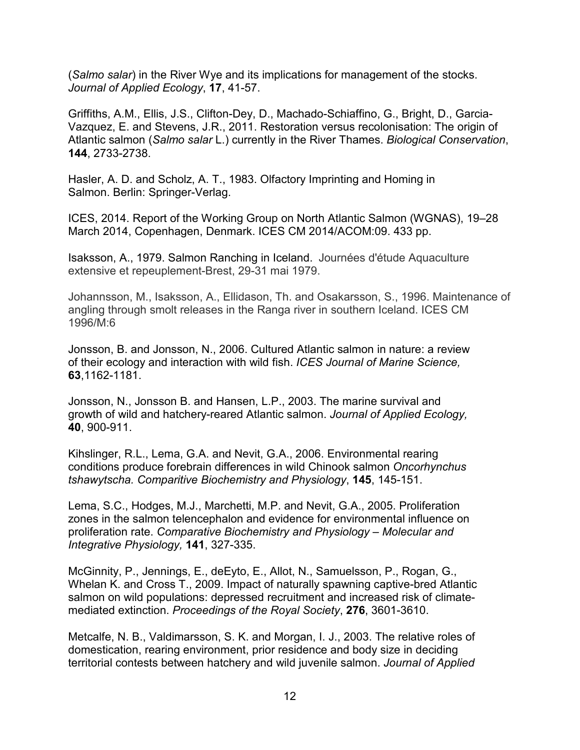(*Salmo salar*) in the River Wye and its implications for management of the stocks. *Journal of Applied Ecology*, **17**, 41-57.

Griffiths, A.M., Ellis, J.S., Clifton-Dey, D., Machado-Schiaffino, G., Bright, D., Garcia-Vazquez, E. and Stevens, J.R., 2011. Restoration versus recolonisation: The origin of Atlantic salmon (*Salmo salar* L.) currently in the River Thames. *Biological Conservation*, **144**, 2733-2738.

Hasler, A. D. and Scholz, A. T., 1983. Olfactory Imprinting and Homing in Salmon. Berlin: Springer-Verlag.

ICES, 2014. Report of the Working Group on North Atlantic Salmon (WGNAS), 19–28 March 2014, Copenhagen, Denmark. ICES CM 2014/ACOM:09. 433 pp.

Isaksson, A., 1979. Salmon Ranching in Iceland. Journées d'étude Aquaculture extensive et repeuplement-Brest, 29-31 mai 1979.

Johannsson, M., Isaksson, A., Ellidason, Th. and Osakarsson, S., 1996. Maintenance of angling through smolt releases in the Ranga river in southern Iceland. ICES CM 1996/M:6

Jonsson, B. and Jonsson, N., 2006. Cultured Atlantic salmon in nature: a review of their ecology and interaction with wild fish. *ICES Journal of Marine Science,* **63**,1162-1181.

Jonsson, N., Jonsson B. and Hansen, L.P., 2003. The marine survival and growth of wild and hatchery-reared Atlantic salmon. *Journal of Applied Ecology,* **40**, 900-911.

Kihslinger, R.L., Lema, G.A. and Nevit, G.A., 2006. Environmental rearing conditions produce forebrain differences in wild Chinook salmon *Oncorhynchus tshawytscha. Comparitive Biochemistry and Physiology*, **145**, 145-151.

Lema, S.C., Hodges, M.J., Marchetti, M.P. and Nevit, G.A., 2005. Proliferation zones in the salmon telencephalon and evidence for environmental influence on proliferation rate. *Comparative Biochemistry and Physiology – Molecular and Integrative Physiology,* **141**, 327-335.

McGinnity, P., Jennings, E., deEyto, E., Allot, N., Samuelsson, P., Rogan, G., Whelan K. and Cross T., 2009. Impact of naturally spawning captive-bred Atlantic salmon on wild populations: depressed recruitment and increased risk of climatemediated extinction. *Proceedings of the Royal Society*, **276**, 3601-3610.

Metcalfe, N. B., Valdimarsson, S. K. and Morgan, I. J., 2003. The relative roles of domestication, rearing environment, prior residence and body size in deciding territorial contests between hatchery and wild juvenile salmon. *Journal of Applied*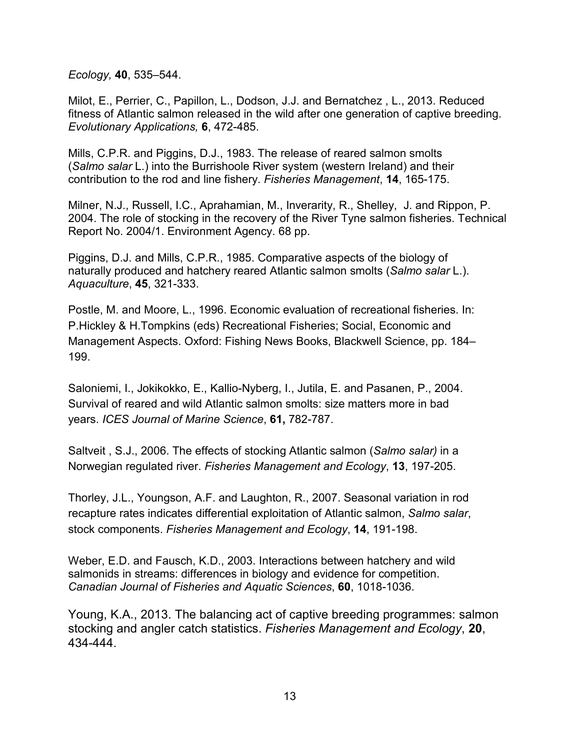*Ecology,* **40**, 535–544.

Milot, E., Perrier, C., Papillon, L., Dodson, J.J. and Bernatchez , L., 2013. Reduced fitness of Atlantic salmon released in the wild after one generation of captive breeding. *Evolutionary Applications,* **6**, 472-485.

Mills, C.P.R. and Piggins, D.J., 1983. The release of reared salmon smolts (*Salmo salar* L.) into the Burrishoole River system (western Ireland) and their contribution to the rod and line fishery. *Fisheries Management*, **14**, 165-175.

Milner, N.J., Russell, I.C., Aprahamian, M., Inverarity, R., Shelley, J. and Rippon, P. 2004. The role of stocking in the recovery of the River Tyne salmon fisheries. Technical Report No. 2004/1. Environment Agency. 68 pp.

Piggins, D.J. and Mills, C.P.R., 1985. Comparative aspects of the biology of naturally produced and hatchery reared Atlantic salmon smolts (*Salmo salar* L.). *Aquaculture*, **45**, 321-333.

Postle, M. and Moore, L., 1996. Economic evaluation of recreational fisheries. In: P.Hickley & H.Tompkins (eds) Recreational Fisheries; Social, Economic and Management Aspects. Oxford: Fishing News Books, Blackwell Science, pp. 184– 199.

Saloniemi, I., Jokikokko, E., Kallio-Nyberg, I., Jutila, E. and Pasanen, P., 2004. Survival of reared and wild Atlantic salmon smolts: size matters more in bad years. *ICES Journal of Marine Science*, **61,** 782-787.

Saltveit , S.J., 2006. The effects of stocking Atlantic salmon (*Salmo salar)* in a Norwegian regulated river. *Fisheries Management and Ecology*, **13**, 197-205.

Thorley, J.L., Youngson, A.F. and Laughton, R., 2007. Seasonal variation in rod recapture rates indicates differential exploitation of Atlantic salmon, *Salmo salar*, stock components. *Fisheries Management and Ecology*, **14**, 191-198.

Weber, E.D. and Fausch, K.D., 2003. Interactions between hatchery and wild salmonids in streams: differences in biology and evidence for competition. *Canadian Journal of Fisheries and Aquatic Sciences*, **60**, 1018-1036.

Young, K.A., 2013. The balancing act of captive breeding programmes: salmon stocking and angler catch statistics. *Fisheries Management and Ecology*, **20**, 434-444.